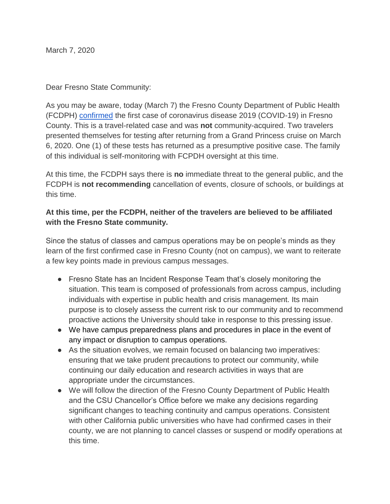March 7, 2020

Dear Fresno State Community:

As you may be aware, today (March 7) the Fresno County Department of Public Health (FCDPH) [confirmed](https://www.co.fresno.ca.us/departments/public-health/covid-19) the first case of coronavirus disease 2019 (COVID-19) in Fresno County. This is a travel-related case and was **not** community-acquired. Two travelers presented themselves for testing after returning from a Grand Princess cruise on March 6, 2020. One (1) of these tests has returned as a presumptive positive case. The family of this individual is self-monitoring with FCPDH oversight at this time.

At this time, the FCDPH says there is **no** immediate threat to the general public, and the FCDPH is **not recommending** cancellation of events, closure of schools, or buildings at this time.

## **At this time, per the FCDPH, neither of the travelers are believed to be affiliated with the Fresno State community.**

Since the status of classes and campus operations may be on people's minds as they learn of the first confirmed case in Fresno County (not on campus), we want to reiterate a few key points made in previous campus messages.

- Fresno State has an Incident Response Team that's closely monitoring the situation. This team is composed of professionals from across campus, including individuals with expertise in public health and crisis management. Its main purpose is to closely assess the current risk to our community and to recommend proactive actions the University should take in response to this pressing issue.
- We have campus preparedness plans and procedures in place in the event of any impact or disruption to campus operations.
- As the situation evolves, we remain focused on balancing two imperatives: ensuring that we take prudent precautions to protect our community, while continuing our daily education and research activities in ways that are appropriate under the circumstances.
- We will follow the direction of the Fresno County Department of Public Health and the CSU Chancellor's Office before we make any decisions regarding significant changes to teaching continuity and campus operations. Consistent with other California public universities who have had confirmed cases in their county, we are not planning to cancel classes or suspend or modify operations at this time.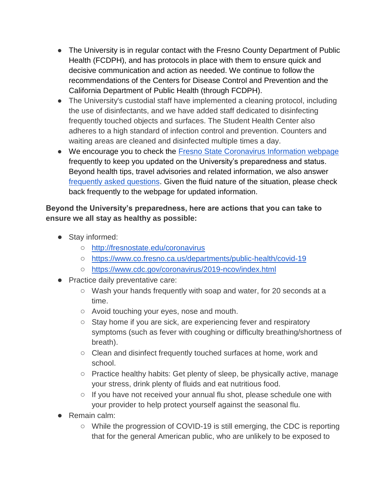- The University is in regular contact with the Fresno County Department of Public Health (FCDPH), and has protocols in place with them to ensure quick and decisive communication and action as needed. We continue to follow the recommendations of the Centers for Disease Control and Prevention and the California Department of Public Health (through FCDPH).
- The University's custodial staff have implemented a cleaning protocol, including the use of disinfectants, and we have added staff dedicated to disinfecting frequently touched objects and surfaces. The Student Health Center also adheres to a high standard of infection control and prevention. Counters and waiting areas are cleaned and disinfected multiple times a day.
- We encourage you to check the Fresno State Coronavirus Information webpage frequently to keep you updated on the University's preparedness and status. Beyond health tips, travel advisories and related information, we also answer [frequently asked questions.](http://fresnostate.edu/president/coronavirus/faq.html) Given the fluid nature of the situation, please check back frequently to the webpage for updated information.

## **Beyond the University's preparedness, here are actions that you can take to ensure we all stay as healthy as possible:**

- Stay informed:
	- [http://fresnostate.edu/coronavirus](http://fresnostate.edu/president/coronavirus/index.html)
	- <https://www.co.fresno.ca.us/departments/public-health/covid-19>
	- <https://www.cdc.gov/coronavirus/2019-ncov/index.html>
- Practice daily preventative care:
	- Wash your hands frequently with soap and water, for 20 seconds at a time.
	- Avoid touching your eyes, nose and mouth.
	- Stay home if you are sick, are experiencing fever and respiratory symptoms (such as fever with coughing or difficulty breathing/shortness of breath).
	- Clean and disinfect frequently touched surfaces at home, work and school.
	- Practice healthy habits: Get plenty of sleep, be physically active, manage your stress, drink plenty of fluids and eat nutritious food.
	- $\circ$  If you have not received your annual flu shot, please schedule one with your provider to help protect yourself against the seasonal flu.
- Remain calm:
	- While the progression of COVID-19 is still emerging, the CDC is reporting that for the general American public, who are unlikely to be exposed to